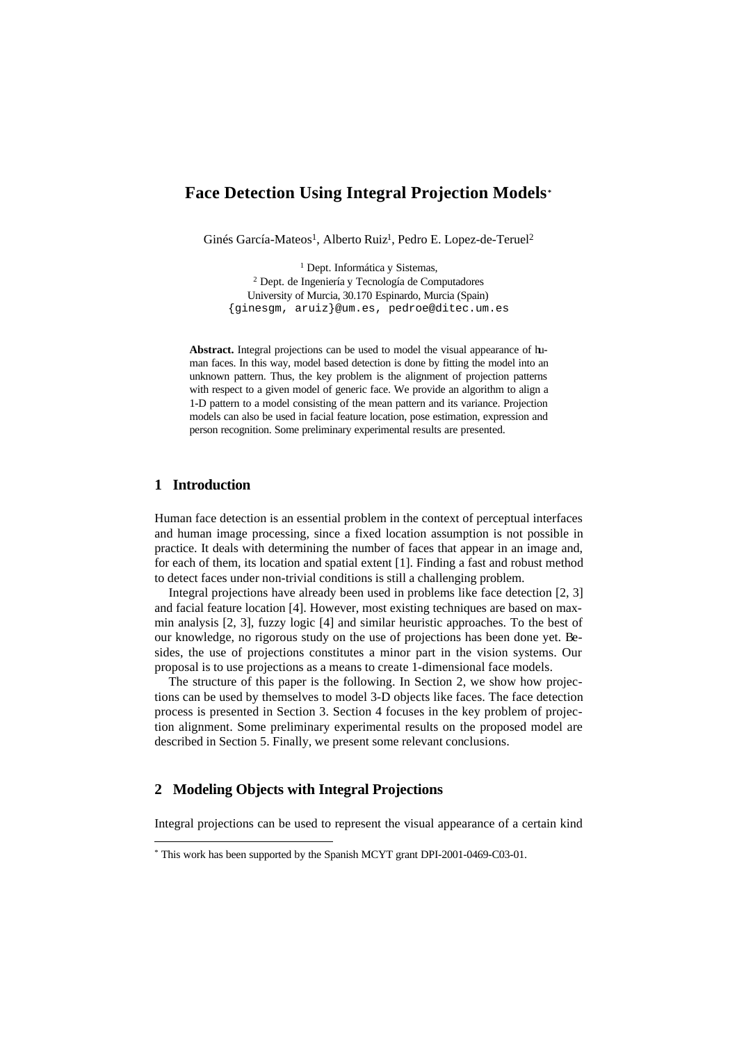# **Face Detection Using Integral Projection Models\***

Ginés García-Mateos<sup>1</sup>, Alberto Ruiz<sup>1</sup>, Pedro E. Lopez-de-Teruel<sup>2</sup>

<sup>1</sup> Dept. Informática y Sistemas, 2 Dept. de Ingeniería y Tecnología de Computadores University of Murcia, 30.170 Espinardo, Murcia (Spain) {ginesgm, aruiz}@um.es, pedroe@ditec.um.es

**Abstract.** Integral projections can be used to model the visual appearance of human faces. In this way, model based detection is done by fitting the model into an unknown pattern. Thus, the key problem is the alignment of projection patterns with respect to a given model of generic face. We provide an algorithm to align a 1-D pattern to a model consisting of the mean pattern and its variance. Projection models can also be used in facial feature location, pose estimation, expression and person recognition. Some preliminary experimental results are presented.

## **1 Introduction**

l

Human face detection is an essential problem in the context of perceptual interfaces and human image processing, since a fixed location assumption is not possible in practice. It deals with determining the number of faces that appear in an image and, for each of them, its location and spatial extent [1]. Finding a fast and robust method to detect faces under non-trivial conditions is still a challenging problem.

Integral projections have already been used in problems like face detection [2, 3] and facial feature location [4]. However, most existing techniques are based on maxmin analysis [2, 3], fuzzy logic [4] and similar heuristic approaches. To the best of our knowledge, no rigorous study on the use of projections has been done yet. Besides, the use of projections constitutes a minor part in the vision systems. Our proposal is to use projections as a means to create 1-dimensional face models.

The structure of this paper is the following. In Section 2, we show how projections can be used by themselves to model 3-D objects like faces. The face detection process is presented in Section 3. Section 4 focuses in the key problem of projection alignment. Some preliminary experimental results on the proposed model are described in Section 5. Finally, we present some relevant conclusions.

### **2 Modeling Objects with Integral Projections**

Integral projections can be used to represent the visual appearance of a certain kind

<sup>\*</sup> This work has been supported by the Spanish MCYT grant DPI-2001-0469-C03-01.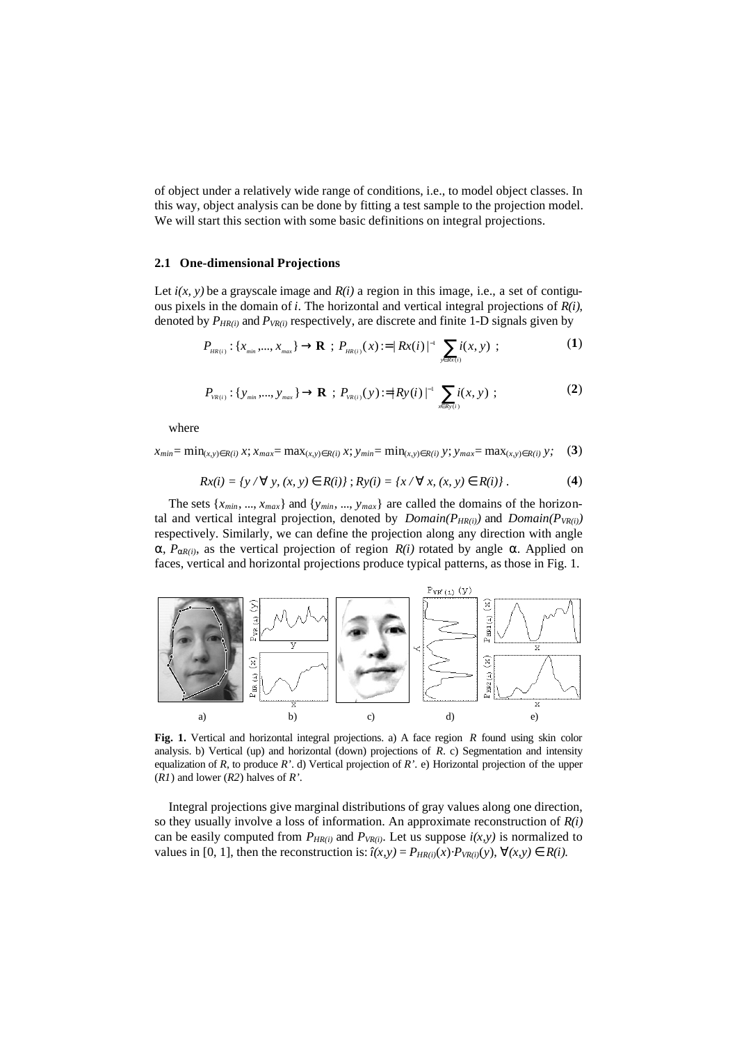of object under a relatively wide range of conditions, i.e., to model object classes. In this way, object analysis can be done by fitting a test sample to the projection model. We will start this section with some basic definitions on integral projections.

### **2.1 One-dimensional Projections**

Let  $i(x, y)$  be a grayscale image and  $R(i)$  a region in this image, i.e., a set of contiguous pixels in the domain of *i*. The horizontal and vertical integral projections of *R(i)*, denoted by *PHR(i)* and *PVR(i)* respectively, are discrete and finite 1-D signals given by

$$
P_{_{HR(i)}}: \{x_{_{min}},..., x_{_{max}}\} \to \mathbf{R} \; ; \; P_{_{HR(i)}}(x) := |Rx(i)|^{-1} \sum_{y \in Rx(i)} i(x, y) \; ; \tag{1}
$$

$$
P_{v_{R(i)}}: \{y_{\text{min}},..., y_{\text{max}}\} \to \mathbf{R} \; ; \; P_{v_{R(i)}}(y) := |R y(i)|^{-1} \sum_{x \in R y(i)} i(x, y) \; ; \tag{2}
$$

where

$$
x_{min} = \min_{(x,y)\in R(i)} x; x_{max} = \max_{(x,y)\in R(i)} x; y_{min} = \min_{(x,y)\in R(i)} y; y_{max} = \max_{(x,y)\in R(i)} y; (3)
$$

$$
Rx(i) = \{y \; / \; "y, (x, y) \mathbf{\hat{I}} \; R(i)\} ; Ry(i) = \{x \; / \; "x, (x, y) \mathbf{\hat{I}} \; R(i)\} . \tag{4}
$$

The sets  $\{x_{min}, ..., x_{max}\}\$  and  $\{y_{min}, ..., y_{max}\}\$  are called the domains of the horizontal and vertical integral projection, denoted by  $Domain(P_{HR(i)})$  and  $Domain(P_{VR(i)})$ respectively. Similarly, we can define the projection along any direction with angle  $a, P_{aR(i)}$ , as the vertical projection of region  $R(i)$  rotated by angle  $a$ . Applied on faces, vertical and horizontal projections produce typical patterns, as those in Fig. 1.



Fig. 1. Vertical and horizontal integral projections. a) A face region *R* found using skin color analysis. b) Vertical (up) and horizontal (down) projections of *R*. c) Segmentation and intensity equalization of *R*, to produce *R'*. d) Vertical projection of *R'*. e) Horizontal projection of the upper (*R1*) and lower (*R2*) halves of *R'*.

Integral projections give marginal distributions of gray values along one direction, so they usually involve a loss of information. An approximate reconstruction of *R(i)* can be easily computed from  $P_{HR(i)}$  and  $P_{VR(i)}$ . Let us suppose  $i(x, y)$  is normalized to values in [0, 1], then the reconstruction is:  $\hat{i}(x,y) = P_{HR(i)}(x) \cdot P_{VR(i)}(y), \forall (x,y) \in R(i)$ .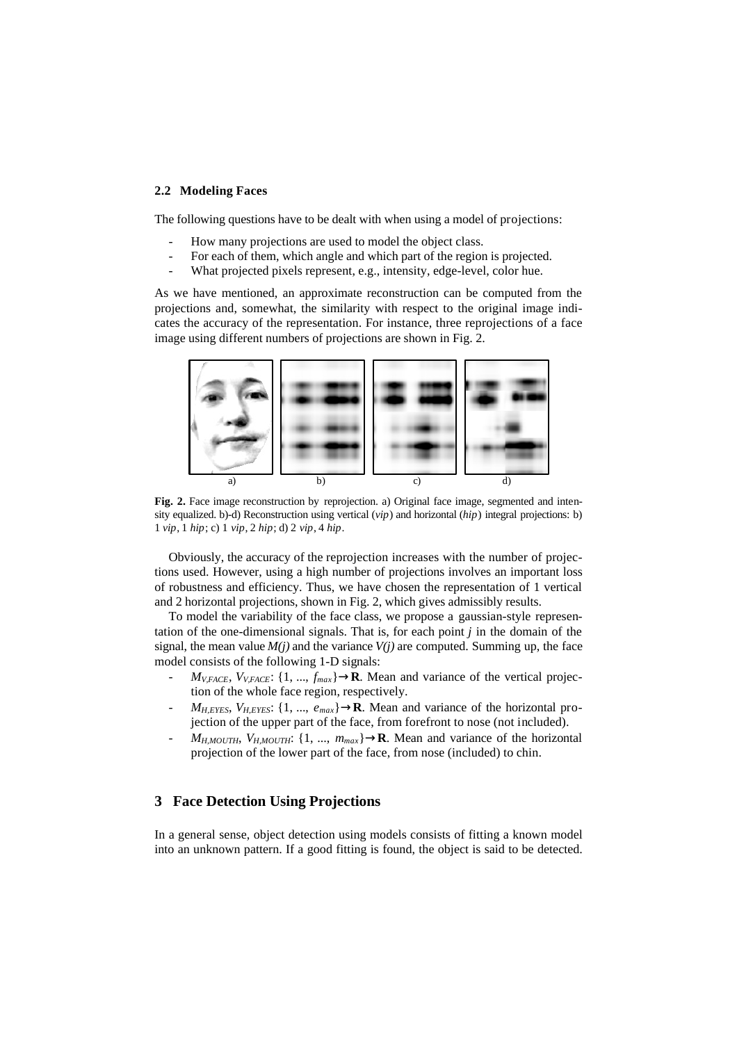#### **2.2 Modeling Faces**

The following questions have to be dealt with when using a model of projections:

- How many projections are used to model the object class.
- For each of them, which angle and which part of the region is projected.
- What projected pixels represent, e.g., intensity, edge-level, color hue.

As we have mentioned, an approximate reconstruction can be computed from the projections and, somewhat, the similarity with respect to the original image indicates the accuracy of the representation. For instance, three reprojections of a face image using different numbers of projections are shown in Fig. 2.



**Fig. 2.** Face image reconstruction by reprojection. a) Original face image, segmented and intensity equalized. b)-d) Reconstruction using vertical (*vip*) and horizontal (*hip*) integral projections: b) 1 *vip*, 1 *hip*; c) 1 *vip*, 2 *hip*; d) 2 *vip*, 4 *hip*.

Obviously, the accuracy of the reprojection increases with the number of projections used. However, using a high number of projections involves an important loss of robustness and efficiency. Thus, we have chosen the representation of 1 vertical and 2 horizontal projections, shown in Fig. 2, which gives admissibly results.

To model the variability of the face class, we propose a gaussian-style representation of the one-dimensional signals. That is, for each point *j* in the domain of the signal, the mean value  $M(i)$  and the variance  $V(i)$  are computed. Summing up, the face model consists of the following 1-D signals:

- $M_{V,FACE}$ ,  $V_{V,FACE}$ : {1, ...,  $f_{max}$ } $\rightarrow$ **R**. Mean and variance of the vertical projection of the whole face region, respectively.
- $M_{H, EYES}, V_{H, EYES}: \{1, ..., e_{max}\} \rightarrow \mathbf{R}$ . Mean and variance of the horizontal projection of the upper part of the face, from forefront to nose (not included).
- $M_{H,MOUTH}$ ,  $V_{H,MOUTH}$ : {1, ...,  $m_{max}$ } $\rightarrow$ **R**. Mean and variance of the horizontal projection of the lower part of the face, from nose (included) to chin.

# **3 Face Detection Using Projections**

In a general sense, object detection using models consists of fitting a known model into an unknown pattern. If a good fitting is found, the object is said to be detected.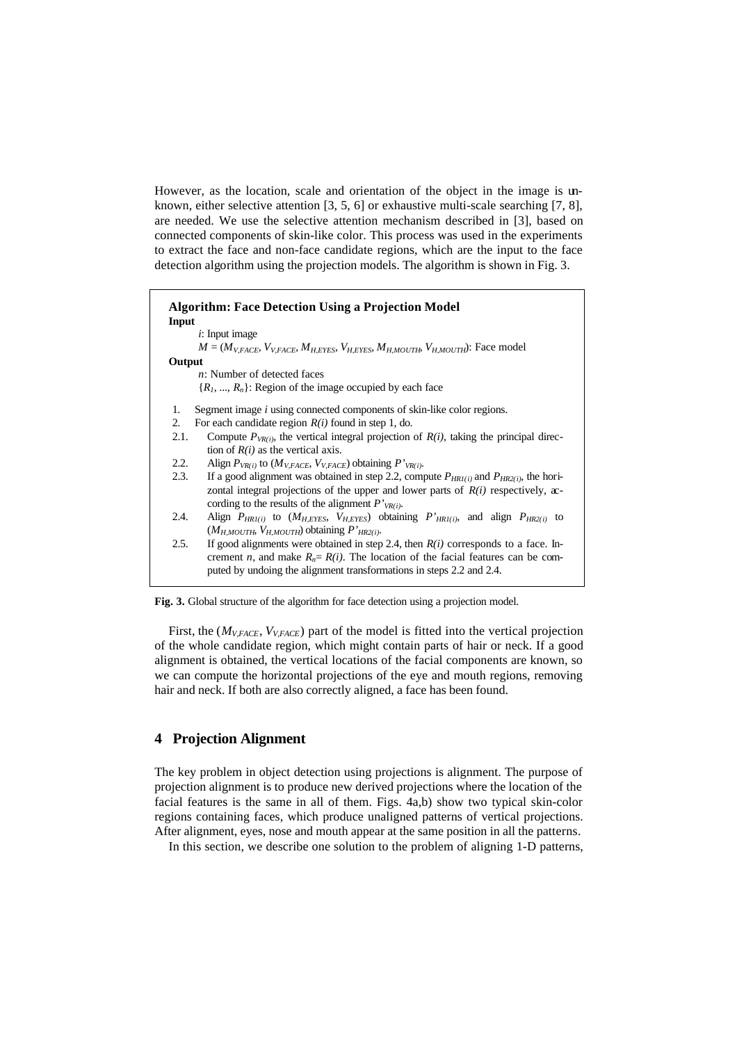However, as the location, scale and orientation of the object in the image is unknown, either selective attention [3, 5, 6] or exhaustive multi-scale searching [7, 8], are needed. We use the selective attention mechanism described in [3], based on connected components of skin-like color. This process was used in the experiments to extract the face and non-face candidate regions, which are the input to the face detection algorithm using the projection models. The algorithm is shown in Fig. 3.

| <b>Algorithm: Face Detection Using a Projection Model</b><br>Input                                                                                                                                                                                                 |
|--------------------------------------------------------------------------------------------------------------------------------------------------------------------------------------------------------------------------------------------------------------------|
| $i$ : Input image                                                                                                                                                                                                                                                  |
| $M = (M_{V, FACE}, V_{V, FACE}, M_{H, EYES}, V_{H, EYES}, M_{H, MOUTH}, V_{H, MOUTH})$ : Face model                                                                                                                                                                |
| Output                                                                                                                                                                                                                                                             |
| <i>n</i> : Number of detected faces                                                                                                                                                                                                                                |
| $\{R_1, , R_n\}$ : Region of the image occupied by each face                                                                                                                                                                                                       |
| Segment image <i>i</i> using connected components of skin-like color regions.<br>1.                                                                                                                                                                                |
| For each candidate region $R(i)$ found in step 1, do.<br>2.                                                                                                                                                                                                        |
| Compute $P_{VR(i)}$ , the vertical integral projection of $R(i)$ , taking the principal direc-<br>2.1.<br>tion of $R(i)$ as the vertical axis.                                                                                                                     |
| 2.2.<br>Align $P_{VR(i)}$ to ( $M_{V,FACE}$ , $V_{V,FACE}$ ) obtaining $P'_{VR(i)}$ .                                                                                                                                                                              |
| 2.3.<br>If a good alignment was obtained in step 2.2, compute $P_{HR1(i)}$ and $P_{HR2(i)}$ , the hori-<br>zontal integral projections of the upper and lower parts of $R(i)$ respectively, $x$ -<br>cording to the results of the alignment $P'_{VR(i)}$ .        |
| Align $P_{HRI(i)}$ to $(M_{HEYES}, V_{HEYES})$ obtaining $P'_{HRI(i)}$ , and align $P_{HR2(i)}$ to<br>2.4.<br>$(M_{H.MOUTH}, V_{H.MOUTH})$ obtaining $P'_{HR2(i)}$ .                                                                                               |
| If good alignments were obtained in step 2.4, then $R(i)$ corresponds to a face. In-<br>2.5.<br>crement <i>n</i> , and make $R_n = R(i)$ . The location of the facial features can be com-<br>puted by undoing the alignment transformations in steps 2.2 and 2.4. |

**Fig. 3.** Global structure of the algorithm for face detection using a projection model.

First, the (*MV,FACE*, *VV,FACE*) part of the model is fitted into the vertical projection of the whole candidate region, which might contain parts of hair or neck. If a good alignment is obtained, the vertical locations of the facial components are known, so we can compute the horizontal projections of the eye and mouth regions, removing hair and neck. If both are also correctly aligned, a face has been found.

# **4 Projection Alignment**

The key problem in object detection using projections is alignment. The purpose of projection alignment is to produce new derived projections where the location of the facial features is the same in all of them. Figs. 4a,b) show two typical skin-color regions containing faces, which produce unaligned patterns of vertical projections. After alignment, eyes, nose and mouth appear at the same position in all the patterns.

In this section, we describe one solution to the problem of aligning 1-D patterns,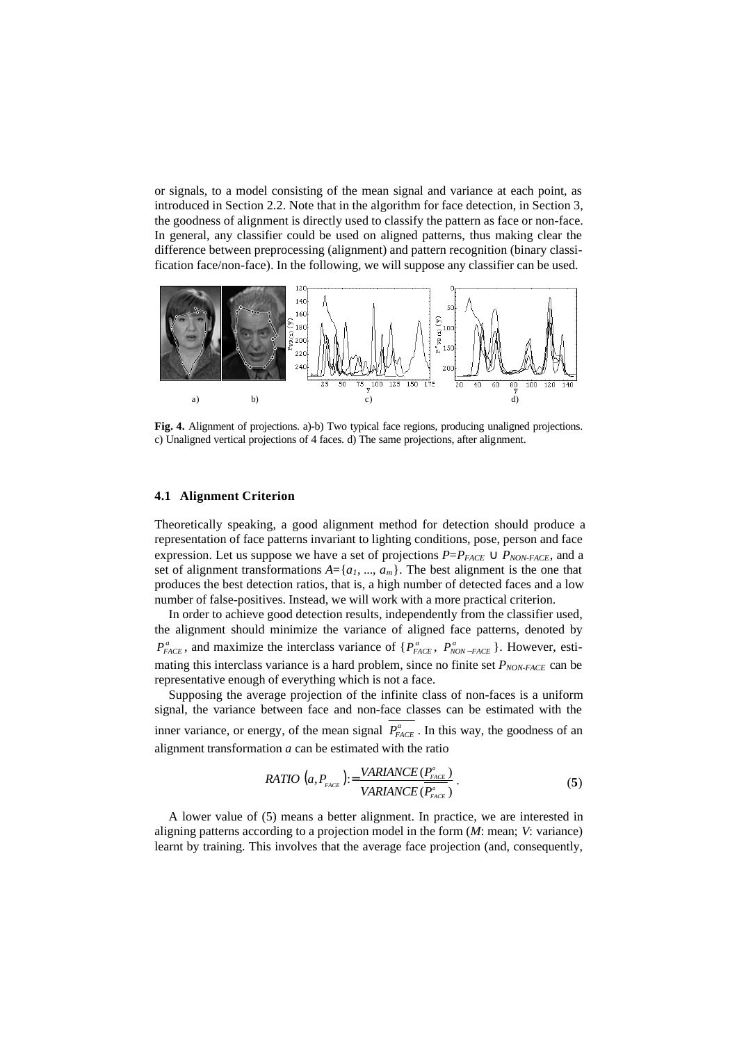or signals, to a model consisting of the mean signal and variance at each point, as introduced in Section 2.2. Note that in the algorithm for face detection, in Section 3, the goodness of alignment is directly used to classify the pattern as face or non-face. In general, any classifier could be used on aligned patterns, thus making clear the difference between preprocessing (alignment) and pattern recognition (binary classification face/non-face). In the following, we will suppose any classifier can be used.



**Fig. 4.** Alignment of projections. a)-b) Two typical face regions, producing unaligned projections. c) Unaligned vertical projections of 4 faces. d) The same projections, after alignment.

#### **4.1 Alignment Criterion**

Theoretically speaking, a good alignment method for detection should produce a representation of face patterns invariant to lighting conditions, pose, person and face expression. Let us suppose we have a set of projections  $P= P_{FACE} \cup P_{NON-FACE}$ , and a set of alignment transformations  $A = \{a_1, ..., a_m\}$ . The best alignment is the one that produces the best detection ratios, that is, a high number of detected faces and a low number of false-positives. Instead, we will work with a more practical criterion.

In order to achieve good detection results, independently from the classifier used, the alignment should minimize the variance of aligned face patterns, denoted by  $P_{FACE}^a$ , and maximize the interclass variance of { $P_{FACE}^a$ ,  $P_{NON-FACE}^a$ }. However, estimating this interclass variance is a hard problem, since no finite set *PNON-FACE* can be representative enough of everything which is not a face.

Supposing the average projection of the infinite class of non-faces is a uniform signal, the variance between face and non-face classes can be estimated with the inner variance, or energy, of the mean signal  $P_{FACE}^a$ . In this way, the goodness of an alignment transformation *a* can be estimated with the ratio

RATIO 
$$
(a, P_{\text{PACE}}) := \frac{VARIANCE(P_{\text{PACE}}^{\text{a}})}{VARIANCE(P_{\text{PACE}}^{\text{a}})}
$$
. (5)

A lower value of (5) means a better alignment. In practice, we are interested in aligning patterns according to a projection model in the form (*M*: mean; *V*: variance) learnt by training. This involves that the average face projection (and, consequently,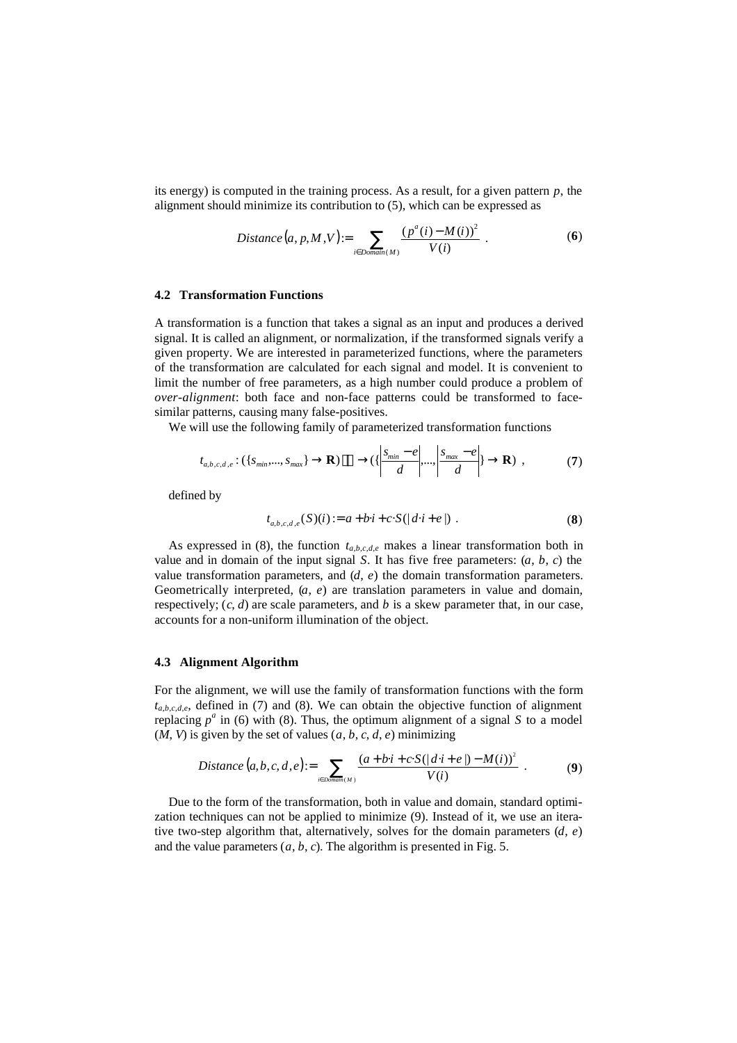its energy) is computed in the training process. As a result, for a given pattern *p*, the alignment should minimize its contribution to (5), which can be expressed as

$$
Distance(a, p, M, V) := \sum_{i \in Domain(M)} \frac{(p^{a}(i) - M(i))^{2}}{V(i)}.
$$
 (6)

#### **4.2 Transformation Functions**

A transformation is a function that takes a signal as an input and produces a derived signal. It is called an alignment, or normalization, if the transformed signals verify a given property. We are interested in parameterized functions, where the parameters of the transformation are calculated for each signal and model. It is convenient to limit the number of free parameters, as a high number could produce a problem of *over-alignment*: both face and non-face patterns could be transformed to facesimilar patterns, causing many false-positives.

We will use the following family of parameterized transformation functions

$$
t_{a,b,c,d,e}: (\{s_{\min},...,s_{\max}\} \to \mathbf{R}) \longrightarrow (\{\left|\frac{s_{\min} - e}{d}\right|,...,\left|\frac{s_{\max} - e}{d}\right| \to \mathbf{R}) ,
$$
 (7)

defined by

$$
t_{a,b,c,d,e}(S)(i) := a + bi + c \cdot S(|d \cdot i + e|) . \tag{8}
$$

As expressed in (8), the function *ta,b,c,d,e* makes a linear transformation both in value and in domain of the input signal  $S$ . It has five free parameters:  $(a, b, c)$  the value transformation parameters, and (*d*, *e*) the domain transformation parameters. Geometrically interpreted, (*a*, *e*) are translation parameters in value and domain, respectively;  $(c, d)$  are scale parameters, and *b* is a skew parameter that, in our case, accounts for a non-uniform illumination of the object.

#### **4.3 Alignment Algorithm**

For the alignment, we will use the family of transformation functions with the form  $t_{a,b,c,d,e}$ , defined in (7) and (8). We can obtain the objective function of alignment replacing  $p^a$  in (6) with (8). Thus, the optimum alignment of a signal *S* to a model  $(M, V)$  is given by the set of values  $(a, b, c, d, e)$  minimizing

Distance 
$$
(a, b, c, d, e) := \sum_{i \in Domain(M)} \frac{(a + b \cdot i + c \cdot S(|d \cdot i + e|) - M(i))^2}{V(i)}
$$
. (9)

Due to the form of the transformation, both in value and domain, standard optimization techniques can not be applied to minimize (9). Instead of it, we use an iterative two-step algorithm that, alternatively, solves for the domain parameters (*d*, *e*) and the value parameters  $(a, b, c)$ . The algorithm is presented in Fig. 5.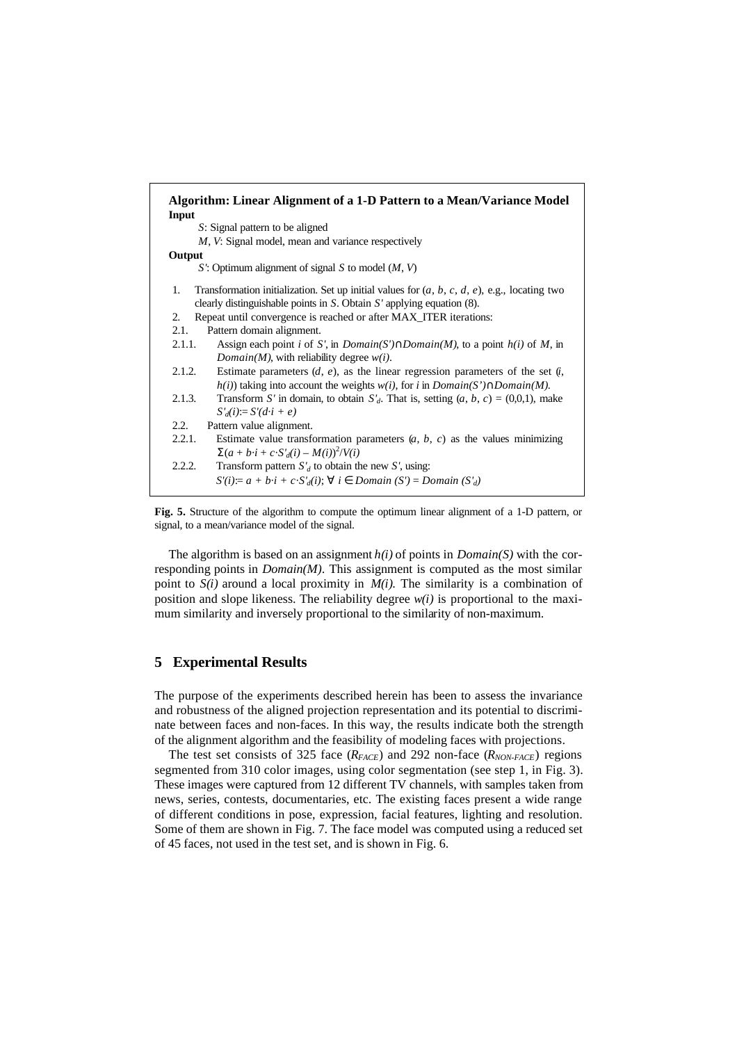| Algorithm: Linear Alignment of a 1-D Pattern to a Mean/Variance Model<br>Input                          |
|---------------------------------------------------------------------------------------------------------|
| S: Signal pattern to be aligned                                                                         |
| M, V: Signal model, mean and variance respectively                                                      |
| Output                                                                                                  |
| S': Optimum alignment of signal S to model $(M, V)$                                                     |
| Transformation initialization. Set up initial values for $(a, b, c, d, e)$ , e.g., locating two<br>1.   |
| clearly distinguishable points in $S$ . Obtain $S'$ applying equation (8).                              |
| Repeat until convergence is reached or after MAX_ITER iterations:<br>2.                                 |
| Pattern domain alignment.<br>2.1.                                                                       |
| Assign each point <i>i</i> of S', in $Domain(S') \cap Domain(M)$ , to a point $h(i)$ of M, in<br>2.1.1. |
| $Domain(M)$ , with reliability degree $w(i)$ .                                                          |
| Estimate parameters $(d, e)$ , as the linear regression parameters of the set $(i, e)$<br>2.1.2.        |
| $h(i)$ ) taking into account the weights $w(i)$ , for i in $Domain(S') \cap Domain(M)$ .                |
| Transform S' in domain, to obtain $S_d$ . That is, setting $(a, b, c) = (0, 0, 1)$ , make<br>2.1.3.     |
| $S'_d(i) = S'(d \cdot i + e)$                                                                           |
| 2.2.<br>Pattern value alignment.                                                                        |
| Estimate value transformation parameters $(a, b, c)$ as the values minimizing<br>2.2.1.                 |
| $\sum (a+b\cdot i + c\cdot S_d'(i) - M(i))^2/V(i)$                                                      |
| 2.2.2.<br>Transform pattern $S_d$ to obtain the new S', using:                                          |
| $S'(i) = a + b \cdot i + c \cdot S'_{d}(i)$ ; $\forall i \in Domain(S') = Domain(S'_{d})$               |
|                                                                                                         |



The algorithm is based on an assignment *h(i)* of points in *Domain(S)* with the corresponding points in *Domain(M)*. This assignment is computed as the most similar point to  $S(i)$  around a local proximity in  $M(i)$ . The similarity is a combination of position and slope likeness. The reliability degree *w(i)* is proportional to the maximum similarity and inversely proportional to the similarity of non-maximum.

## **5 Experimental Results**

The purpose of the experiments described herein has been to assess the invariance and robustness of the aligned projection representation and its potential to discriminate between faces and non-faces. In this way, the results indicate both the strength of the alignment algorithm and the feasibility of modeling faces with projections.

The test set consists of 325 face (*RFACE*) and 292 non-face (*RNON-FACE*) regions segmented from 310 color images, using color segmentation (see step 1, in Fig. 3). These images were captured from 12 different TV channels, with samples taken from news, series, contests, documentaries, etc. The existing faces present a wide range of different conditions in pose, expression, facial features, lighting and resolution. Some of them are shown in Fig. 7. The face model was computed using a reduced set of 45 faces, not used in the test set, and is shown in Fig. 6.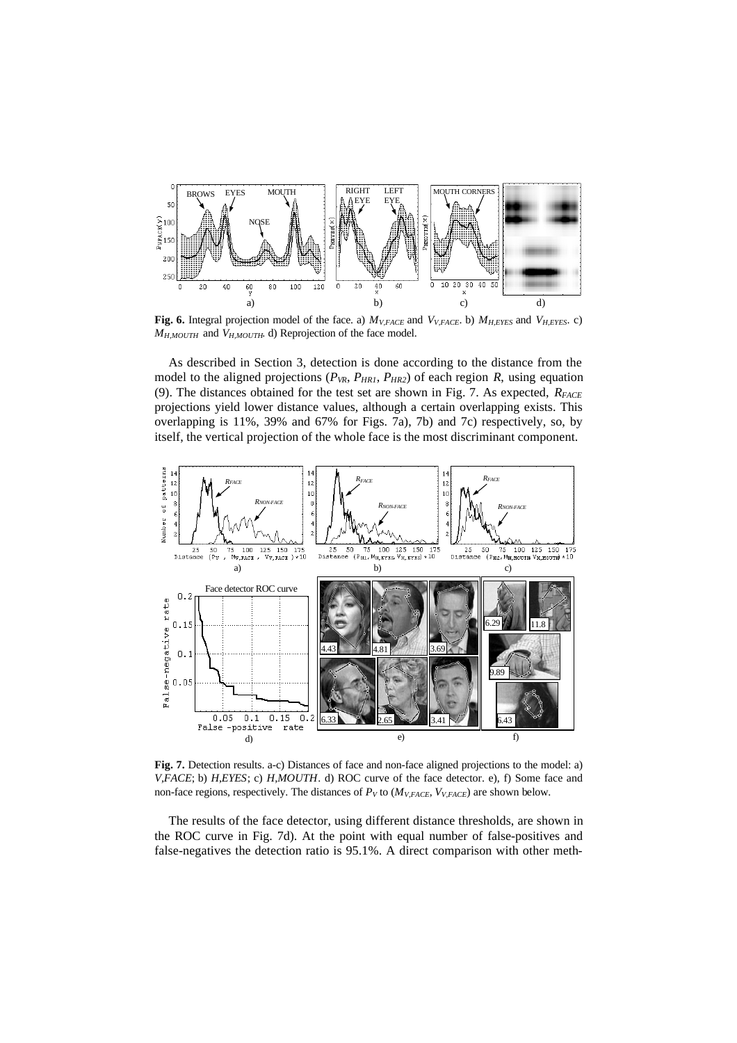

**Fig. 6.** Integral projection model of the face. a) *MV,FACE* and *VV,FACE*. b) *MH,EYES* and *VH,EYES*. c) *MH,MOUTH* and *VH,MOUTH*. d) Reprojection of the face model.

As described in Section 3, detection is done according to the distance from the model to the aligned projections ( $P_{VR}$ ,  $P_{HR1}$ ,  $P_{HR2}$ ) of each region *R*, using equation (9). The distances obtained for the test set are shown in Fig. 7. As expected, *RFACE* projections yield lower distance values, although a certain overlapping exists. This overlapping is 11%, 39% and 67% for Figs. 7a), 7b) and 7c) respectively, so, by itself, the vertical projection of the whole face is the most discriminant component.



**Fig. 7.** Detection results. a-c) Distances of face and non-face aligned projections to the model: a) *V,FACE*; b) *H,EYES*; c) *H,MOUTH*. d) ROC curve of the face detector. e), f) Some face and non-face regions, respectively. The distances of  $P_V$  to ( $M_{V,FACE}$ ,  $V_{V,FACE}$ ) are shown below.

The results of the face detector, using different distance thresholds, are shown in the ROC curve in Fig. 7d). At the point with equal number of false-positives and false-negatives the detection ratio is 95.1%. A direct comparison with other meth